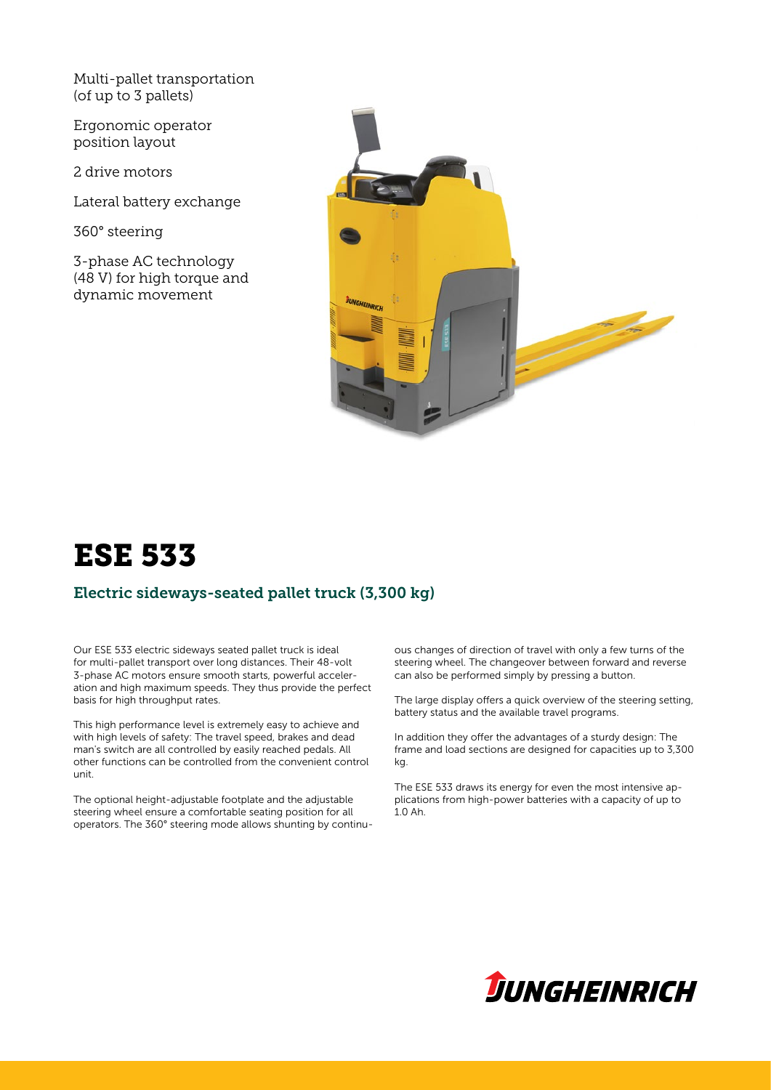Multi-pallet transportation (of up to 3 pallets)

Ergonomic operator position layout

2 drive motors

Lateral battery exchange

360° steering

3-phase AC technology (48 V) for high torque and dynamic movement



# ESE 533

# Electric sideways-seated pallet truck (3,300 kg)

Our ESE 533 electric sideways seated pallet truck is ideal for multi-pallet transport over long distances. Their 48-volt 3-phase AC motors ensure smooth starts, powerful acceleration and high maximum speeds. They thus provide the perfect basis for high throughput rates.

This high performance level is extremely easy to achieve and with high levels of safety: The travel speed, brakes and dead man's switch are all controlled by easily reached pedals. All other functions can be controlled from the convenient control unit.

The optional height-adjustable footplate and the adjustable steering wheel ensure a comfortable seating position for all operators. The 360° steering mode allows shunting by continuous changes of direction of travel with only a few turns of the steering wheel. The changeover between forward and reverse can also be performed simply by pressing a button.

The large display offers a quick overview of the steering setting, battery status and the available travel programs.

In addition they offer the advantages of a sturdy design: The frame and load sections are designed for capacities up to 3,300 kg.

The ESE 533 draws its energy for even the most intensive applications from high-power batteries with a capacity of up to 1.0 Ah.

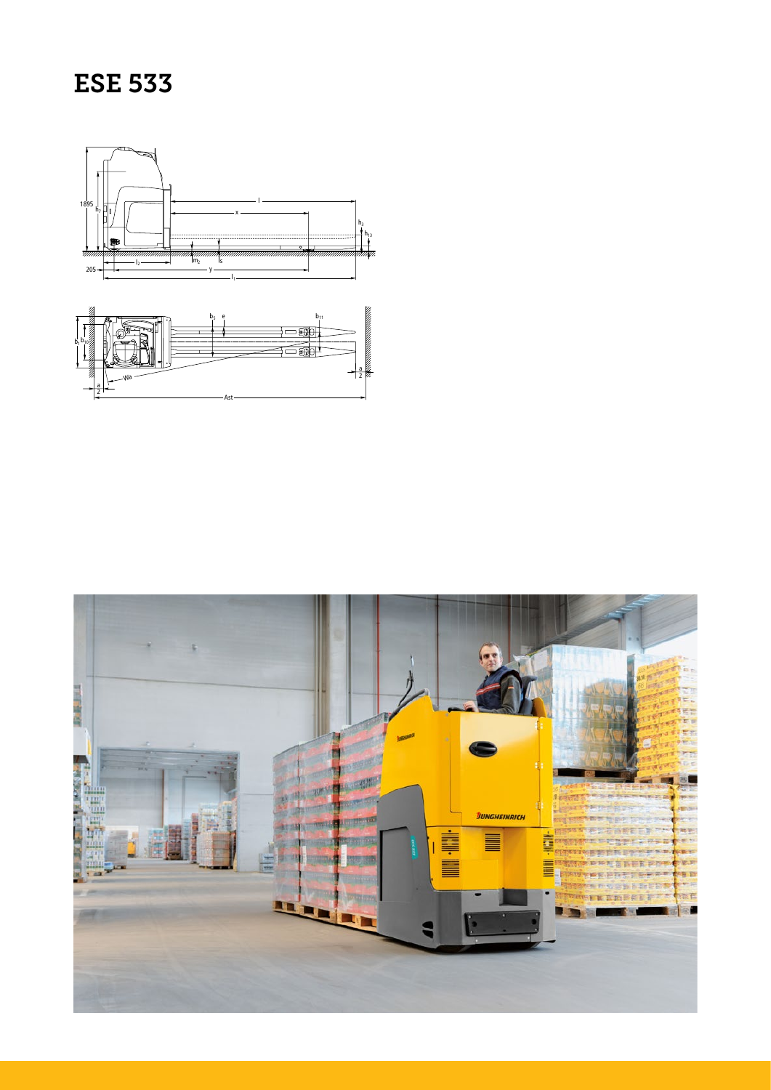# **ESE 533**



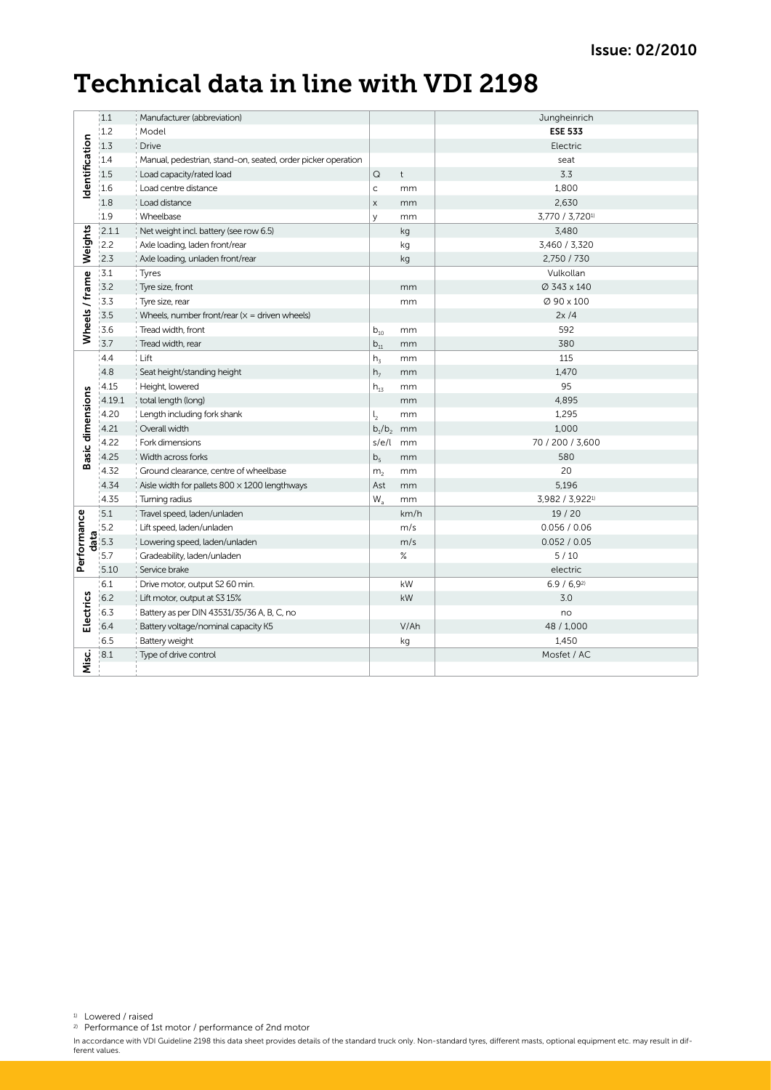# Technical data in line with VDI 2198

| dentification                     | 1.1               | Manufacturer (abbreviation)                                  |                    |              | Jungheinrich     |
|-----------------------------------|-------------------|--------------------------------------------------------------|--------------------|--------------|------------------|
|                                   | 1.2               | Model                                                        |                    |              | <b>ESE 533</b>   |
|                                   | 1.3               | <b>Drive</b>                                                 |                    |              | Electric         |
|                                   | 1.4               | Manual, pedestrian, stand-on, seated, order picker operation |                    |              | seat             |
|                                   | 1.5               | Load capacity/rated load                                     | $\mathsf Q$        | $\mathsf{t}$ | 3.3              |
|                                   | 1.6               | Load centre distance                                         | $\mathsf{C}$       | mm           | 1,800            |
|                                   | 1.8               | Load distance                                                | $\mathsf X$        | mm           | 2,630            |
|                                   | 1.9               | Wheelbase                                                    | y                  | mm           | 3,770 / 3,7201)  |
| Weights<br>Wheels / frame         | 2.1.1             | Net weight incl. battery (see row 6.5)                       |                    | kg           | 3,480            |
|                                   | 2.2               | Axle loading, laden front/rear                               |                    | kg           | 3,460 / 3,320    |
|                                   | 2.3               | Axle loading, unladen front/rear                             |                    | kg           | 2,750 / 730      |
|                                   | 3.1               | Tyres                                                        |                    |              | Vulkollan        |
|                                   | 3.2               | Tyre size, front                                             |                    | mm           | Ø 343 x 140      |
|                                   | 3.3               | Tyre size, rear                                              |                    | mm           | Ø 90 x 100       |
|                                   | 3.5               | Wheels, number front/rear $(x =$ driven wheels)              |                    |              | 2x/4             |
|                                   | 13.6              | Tread width, front                                           | $b_{10}$           | mm           | 592              |
|                                   | 3.7               | Tread width, rear                                            | $b_{11}$           | mm           | 380              |
| <b>Basic dimensions</b>           | 4.4               | Lift                                                         | $h_{\overline{3}}$ | mm           | 115              |
|                                   | 4.8               | Seat height/standing height                                  | h <sub>7</sub>     | mm           | 1,470            |
|                                   | 4.15              | Height, lowered                                              | $h_{13}$           | mm           | 95               |
|                                   | 4.19.1            | total length (long)                                          |                    | mm           | 4,895            |
|                                   | 4.20              | Length including fork shank                                  | $\mathsf{I}_2$     | mm           | 1,295            |
|                                   | 4.21              | Overall width                                                | $b_1/b_2$ mm       |              | 1,000            |
|                                   | 4.22              | Fork dimensions                                              | s/e/l mm           |              | 70 / 200 / 3,600 |
|                                   | 4.25              | Width across forks                                           | b <sub>5</sub>     | mm           | 580              |
|                                   | 4.32              | Ground clearance, centre of wheelbase                        | m <sub>2</sub>     | mm           | 20               |
|                                   | 4.34              | Aisle width for pallets $800 \times 1200$ lengthways         | Ast                | mm           | 5,196            |
|                                   | 4.35              | Turning radius                                               | $W_a$              | mm           | 3,982 / 3,9221)  |
| Performance<br>Electrics<br>Misc. | 5.1               | Travel speed, laden/unladen                                  |                    | km/h         | 19/20            |
|                                   | 5.2               | Lift speed, laden/unladen                                    |                    | m/s          | 0.056 / 0.06     |
|                                   | $\frac{1}{6}$ 5.3 | Lowering speed, laden/unladen                                |                    | m/s          | 0.052 / 0.05     |
|                                   | 5.7               | Gradeability, laden/unladen                                  |                    | $\%$         | 5/10             |
|                                   | 5.10              | Service brake                                                |                    |              | electric         |
|                                   | 6.1               | Drive motor, output S2 60 min.                               |                    | kW           | 6.9 / 6.92       |
|                                   | 6.2               | Lift motor, output at S3 15%                                 |                    | kW           | 3.0              |
|                                   | 6.3               | Battery as per DIN 43531/35/36 A, B, C, no                   |                    |              | no               |
|                                   | 6.4               | Battery voltage/nominal capacity K5                          |                    | V/Ah         | 48 / 1,000       |
|                                   | 6.5               | Battery weight                                               |                    | kg           | 1,450            |
|                                   | 8.1               | Type of drive control                                        |                    |              | Mosfet / AC      |
|                                   |                   |                                                              |                    |              |                  |

1) Lowered / raised

2) Performance of 1st motor / performance of 2nd motor

In accordance with VDI Guideline 2198 this data sheet provides details of the standard truck only. Non-standard tyres, different masts, optional equipment etc. may result in dif-<br>ferent values.